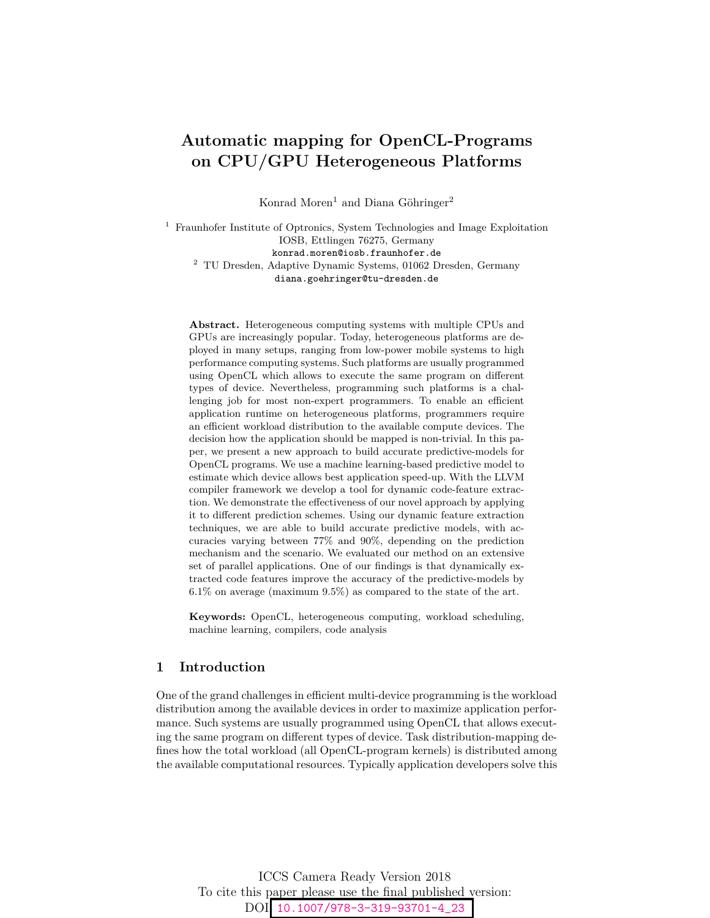# **Automatic mapping for OpenCL-Programs on CPU/GPU Heterogeneous Platforms**

Konrad Moren<sup>1</sup> and Diana Göhringer<sup>2</sup>

 $^{\rm 1}$  Fraunhofer Institute of Optronics, System Technologies and Image Exploitation IOSB, Ettlingen 76275, Germany konrad.moren@iosb.fraunhofer.de  $^{\rm 2}$  TU Dresden, Adaptive Dynamic Systems, 01062 Dresden, Germany diana.goehringer@tu-dresden.de

**Abstract.** Heterogeneous computing systems with multiple CPUs and GPUs are increasingly popular. Today, heterogeneous platforms are deployed in many setups, ranging from low-power mobile systems to high performance computing systems. Such platforms are usually programmed using OpenCL which allows to execute the same program on different types of device. Nevertheless, programming such platforms is a challenging job for most non-expert programmers. To enable an efficient application runtime on heterogeneous platforms, programmers require an efficient workload distribution to the available compute devices. The decision how the application should be mapped is non-trivial. In this paper, we present a new approach to build accurate predictive-models for OpenCL programs. We use a machine learning-based predictive model to estimate which device allows best application speed-up. With the LLVM compiler framework we develop a tool for dynamic code-feature extraction. We demonstrate the effectiveness of our novel approach by applying it to different prediction schemes. Using our dynamic feature extraction techniques, we are able to build accurate predictive models, with accuracies varying between 77% and 90%, depending on the prediction mechanism and the scenario. We evaluated our method on an extensive set of parallel applications. One of our findings is that dynamically extracted code features improve the accuracy of the predictive-models by 6.1% on average (maximum 9.5%) as compared to the state of the art.

**Keywords:** OpenCL, heterogeneous computing, workload scheduling, machine learning, compilers, code analysis

# **1 Introduction**

One of the grand challenges in efficient multi-device programming is the workload distribution among the available devices in order to maximize application performance. Such systems are usually programmed using OpenCL that allows executing the same program on different types of device. Task distribution-mapping defines how the total workload (all OpenCL-program kernels) is distributed among the available computational resources. Typically application developers solve this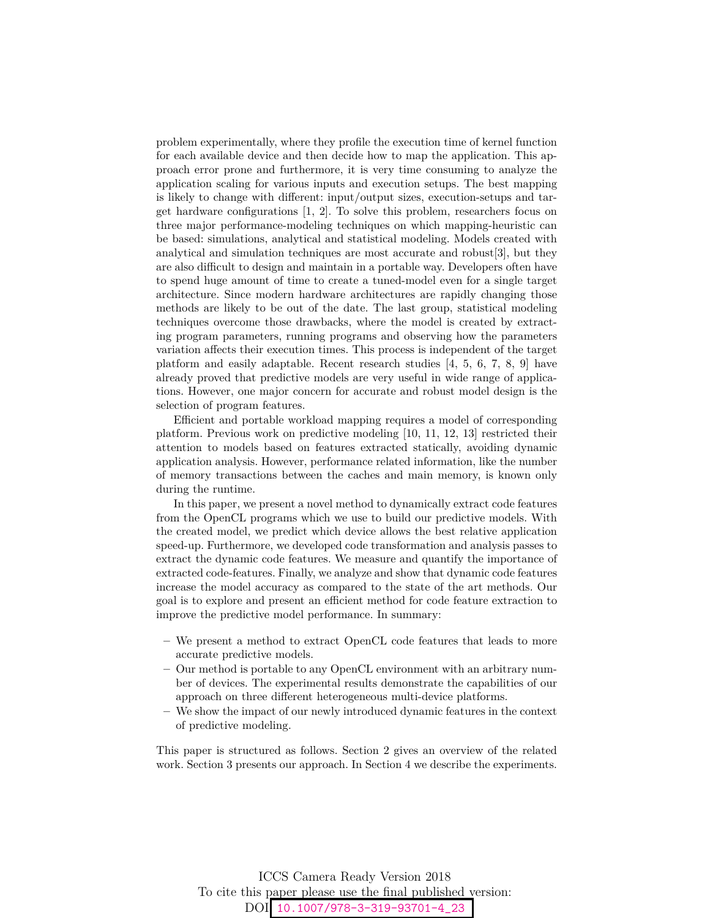problem experimentally, where they profile the execution time of kernel function for each available device and then decide how to map the application. This approach error prone and furthermore, it is very time consuming to analyze the application scaling for various inputs and execution setups. The best mapping is likely to change with different: input/output sizes, execution-setups and target hardware configurations [1, 2]. To solve this problem, researchers focus on three major performance-modeling techniques on which mapping-heuristic can be based: simulations, analytical and statistical modeling. Models created with analytical and simulation techniques are most accurate and robust[3], but they are also difficult to design and maintain in a portable way. Developers often have to spend huge amount of time to create a tuned-model even for a single target architecture. Since modern hardware architectures are rapidly changing those methods are likely to be out of the date. The last group, statistical modeling techniques overcome those drawbacks, where the model is created by extracting program parameters, running programs and observing how the parameters variation affects their execution times. This process is independent of the target platform and easily adaptable. Recent research studies [4, 5, 6, 7, 8, 9] have already proved that predictive models are very useful in wide range of applications. However, one major concern for accurate and robust model design is the selection of program features.

Efficient and portable workload mapping requires a model of corresponding platform. Previous work on predictive modeling [10, 11, 12, 13] restricted their attention to models based on features extracted statically, avoiding dynamic application analysis. However, performance related information, like the number of memory transactions between the caches and main memory, is known only during the runtime.

In this paper, we present a novel method to dynamically extract code features from the OpenCL programs which we use to build our predictive models. With the created model, we predict which device allows the best relative application speed-up. Furthermore, we developed code transformation and analysis passes to extract the dynamic code features. We measure and quantify the importance of extracted code-features. Finally, we analyze and show that dynamic code features increase the model accuracy as compared to the state of the art methods. Our goal is to explore and present an efficient method for code feature extraction to improve the predictive model performance. In summary:

- **–** We present a method to extract OpenCL code features that leads to more accurate predictive models.
- **–** Our method is portable to any OpenCL environment with an arbitrary number of devices. The experimental results demonstrate the capabilities of our approach on three different heterogeneous multi-device platforms.
- **–** We show the impact of our newly introduced dynamic features in the context of predictive modeling.

This paper is structured as follows. Section 2 gives an overview of the related work. Section 3 presents our approach. In Section 4 we describe the experiments.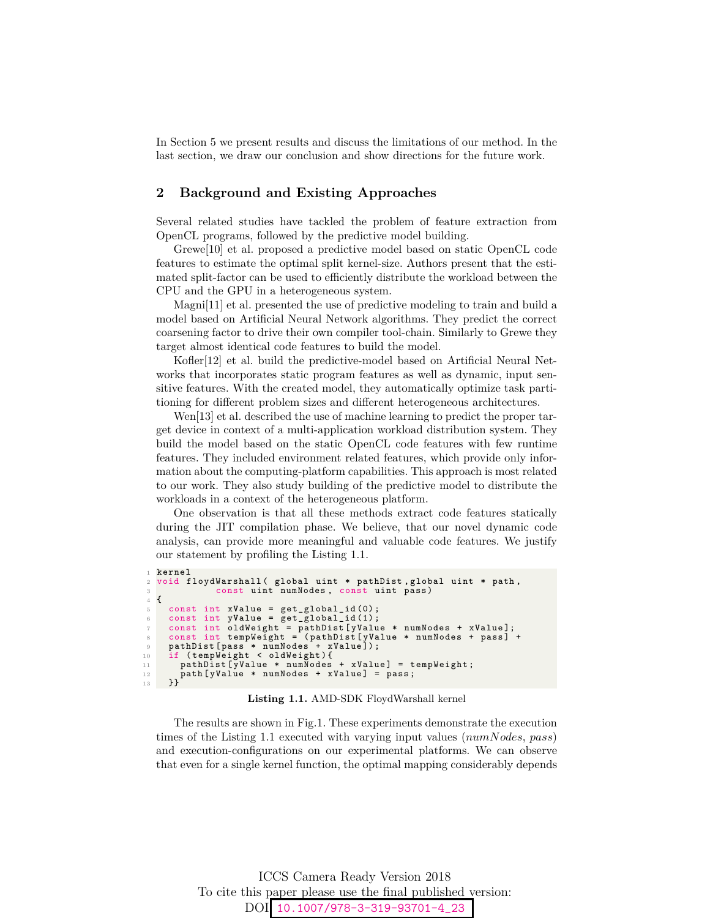In Section 5 we present results and discuss the limitations of our method. In the last section, we draw our conclusion and show directions for the future work.

# **2 Background and Existing Approaches**

Several related studies have tackled the problem of feature extraction from OpenCL programs, followed by the predictive model building.

Grewe[10] et al. proposed a predictive model based on static OpenCL code features to estimate the optimal split kernel-size. Authors present that the estimated split-factor can be used to efficiently distribute the workload between the CPU and the GPU in a heterogeneous system.

Magni[11] et al. presented the use of predictive modeling to train and build a model based on Artificial Neural Network algorithms. They predict the correct coarsening factor to drive their own compiler tool-chain. Similarly to Grewe they target almost identical code features to build the model.

Kofler<sup>[12]</sup> et al. build the predictive-model based on Artificial Neural Networks that incorporates static program features as well as dynamic, input sensitive features. With the created model, they automatically optimize task partitioning for different problem sizes and different heterogeneous architectures.

Wen[13] et al. described the use of machine learning to predict the proper target device in context of a multi-application workload distribution system. They build the model based on the static OpenCL code features with few runtime features. They included environment related features, which provide only information about the computing-platform capabilities. This approach is most related to our work. They also study building of the predictive model to distribute the workloads in a context of the heterogeneous platform.

One observation is that all these methods extract code features statically during the JIT compilation phase. We believe, that our novel dynamic code analysis, can provide more meaningful and valuable code features. We justify our statement by profiling the Listing 1.1.

```
<sup>1</sup> kernel<br><sup>2</sup> void f
 2 void floydWarshall( global uint * pathDist, global uint * path,<br>3 const uint numNodes, const uint pass)
 4 {
 5 const int xValue = get_global_id(0);% const int yValue = get_global_id(1);<br>7 const int oldWeight = pathDist[yValue * numNodes + xValue];<br>8 const int tempWeight = (pathDist[yValue * numNodes + pass] +<br>9 pathDist[pass * numNodes + xValue]);
10 if ( tempWeight < oldWeight ){
11 pathDist [yValue * numNodes + xValue] = tempWeight;
12 path [ yValue * numNodes + xValue] = pass;
13 }}
```
**Listing 1.1.** AMD-SDK FloydWarshall kernel

The results are shown in Fig.1. These experiments demonstrate the execution times of the Listing 1.1 executed with varying input values (*numNodes*, *pass*) and execution-configurations on our experimental platforms. We can observe that even for a single kernel function, the optimal mapping considerably depends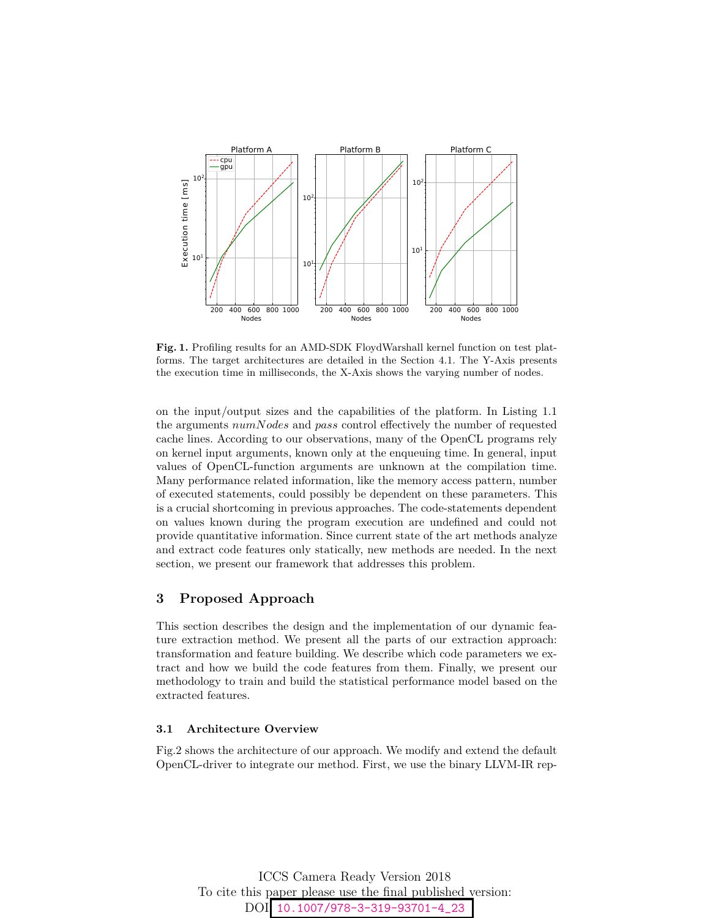

**Fig. 1.** Profiling results for an AMD-SDK FloydWarshall kernel function on test platforms. The target architectures are detailed in the Section 4.1. The Y-Axis presents the execution time in milliseconds, the X-Axis shows the varying number of nodes.

on the input/output sizes and the capabilities of the platform. In Listing 1.1 the arguments *numNodes* and *pass* control effectively the number of requested cache lines. According to our observations, many of the OpenCL programs rely on kernel input arguments, known only at the enqueuing time. In general, input values of OpenCL-function arguments are unknown at the compilation time. Many performance related information, like the memory access pattern, number of executed statements, could possibly be dependent on these parameters. This is a crucial shortcoming in previous approaches. The code-statements dependent on values known during the program execution are undefined and could not provide quantitative information. Since current state of the art methods analyze and extract code features only statically, new methods are needed. In the next section, we present our framework that addresses this problem.

# **3 Proposed Approach**

This section describes the design and the implementation of our dynamic feature extraction method. We present all the parts of our extraction approach: transformation and feature building. We describe which code parameters we extract and how we build the code features from them. Finally, we present our methodology to train and build the statistical performance model based on the extracted features.

#### **3.1 Architecture Overview**

Fig.2 shows the architecture of our approach. We modify and extend the default OpenCL-driver to integrate our method. First, we use the binary LLVM-IR rep-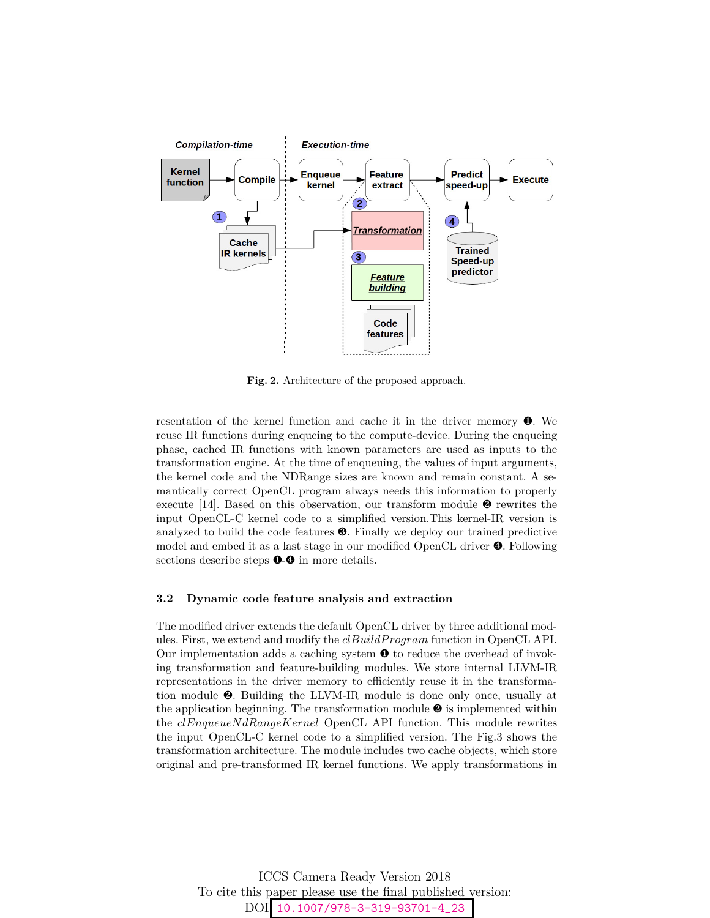

**Fig. 2.** Architecture of the proposed approach.

resentation of the kernel function and cache it in the driver memory ❶. We reuse IR functions during enqueing to the compute-device. During the enqueing phase, cached IR functions with known parameters are used as inputs to the transformation engine. At the time of enqueuing, the values of input arguments, the kernel code and the NDRange sizes are known and remain constant. A semantically correct OpenCL program always needs this information to properly execute [14]. Based on this observation, our transform module  $\bullet$  rewrites the input OpenCL-C kernel code to a simplified version.This kernel-IR version is analyzed to build the code features ❸. Finally we deploy our trained predictive model and embed it as a last stage in our modified OpenCL driver ❹. Following sections describe steps  $\mathbf{0}\text{-}\mathbf{0}$  in more details.

#### **3.2 Dynamic code feature analysis and extraction**

The modified driver extends the default OpenCL driver by three additional modules. First, we extend and modify the *clBuildP rogram* function in OpenCL API. Our implementation adds a caching system  $\bullet$  to reduce the overhead of invoking transformation and feature-building modules. We store internal LLVM-IR representations in the driver memory to efficiently reuse it in the transformation module ❷. Building the LLVM-IR module is done only once, usually at the application beginning. The transformation module ❷ is implemented within the *clEnqueueN dRangeKernel* OpenCL API function. This module rewrites the input OpenCL-C kernel code to a simplified version. The Fig.3 shows the transformation architecture. The module includes two cache objects, which store original and pre-transformed IR kernel functions. We apply transformations in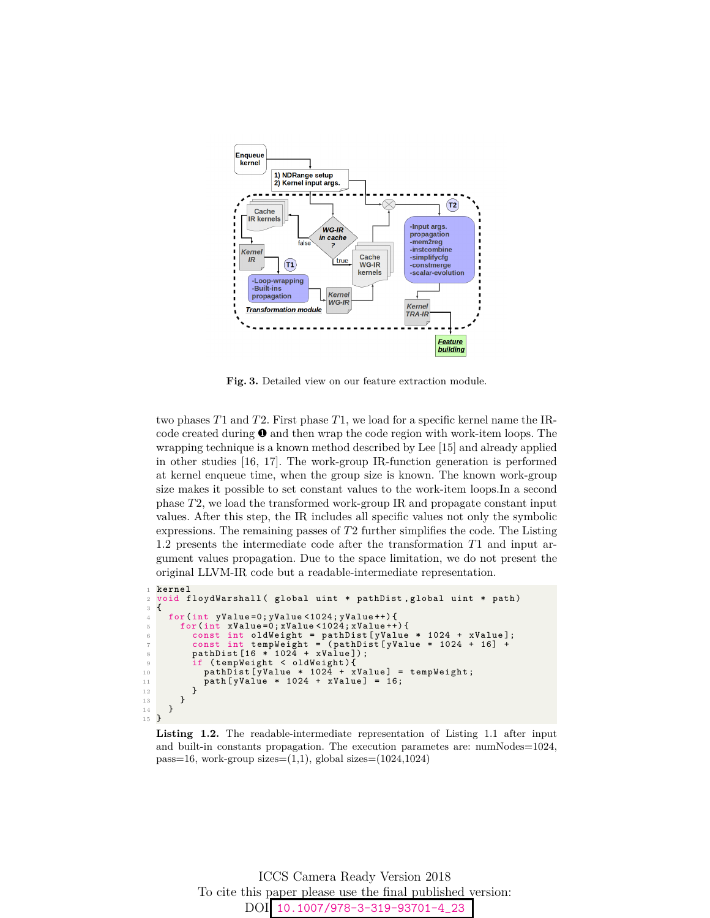

**Fig. 3.** Detailed view on our feature extraction module.

two phases *T*1 and *T*2. First phase *T*1, we load for a specific kernel name the IRcode created during ❶ and then wrap the code region with work-item loops. The wrapping technique is a known method described by Lee [15] and already applied in other studies [16, 17]. The work-group IR-function generation is performed at kernel enqueue time, when the group size is known. The known work-group size makes it possible to set constant values to the work-item loops.In a second phase *T*2, we load the transformed work-group IR and propagate constant input values. After this step, the IR includes all specific values not only the symbolic expressions. The remaining passes of *T*2 further simplifies the code. The Listing 1.2 presents the intermediate code after the transformation *T*1 and input argument values propagation. Due to the space limitation, we do not present the original LLVM-IR code but a readable-intermediate representation.

```
kernel
 2 void floydWarshall ( global uint * pathDist , global uint * path )
   \boldsymbol{\mathcal{K}}4 for ( int yValue =0; yValue <1024; yValue ++) {
         5 for ( int xValue =0; xValue <1024; xValue ++) {
           const int oldWeight = pathDist [yValue * 1024 + xValue];
 7 const int tempWeight = ( pathDist [ yValue * 1024 + 16] +
8 pathDist [16 * 1024 + xValue ]) ;
9 if ( tempWeight < oldWeight ){
10 pathDist [ yValue * 1024 + xValue ] = tempWeight ;
11 path [yValue * 1024 + xValue] = 16;
\frac{12}{13} }
\begin{array}{c|c} 13 \\ 14 \end{array} }
1415 }
```
**Listing 1.2.** The readable-intermediate representation of Listing 1.1 after input and built-in constants propagation. The execution parametes are: numNodes=1024, pass=16, work-group sizes= $(1,1)$ , global sizes= $(1024,1024)$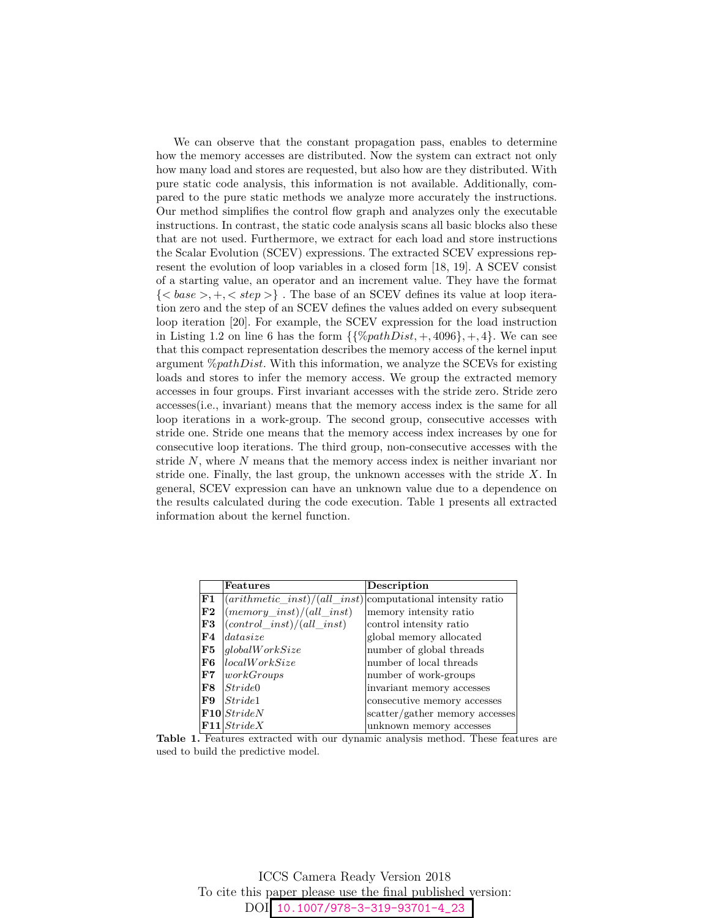We can observe that the constant propagation pass, enables to determine how the memory accesses are distributed. Now the system can extract not only how many load and stores are requested, but also how are they distributed. With pure static code analysis, this information is not available. Additionally, compared to the pure static methods we analyze more accurately the instructions. Our method simplifies the control flow graph and analyzes only the executable instructions. In contrast, the static code analysis scans all basic blocks also these that are not used. Furthermore, we extract for each load and store instructions the Scalar Evolution (SCEV) expressions. The extracted SCEV expressions represent the evolution of loop variables in a closed form [18, 19]. A SCEV consist of a starting value, an operator and an increment value. They have the format  $\{, +, \}$ . The base of an SCEV defines its value at loop iteration zero and the step of an SCEV defines the values added on every subsequent loop iteration [20]. For example, the SCEV expression for the load instruction in Listing 1.2 on line 6 has the form  $\{\{\%pathDist, +, 4096\}, +, 4\}$ . We can see that this compact representation describes the memory access of the kernel input argument %*pathDist*. With this information, we analyze the SCEVs for existing loads and stores to infer the memory access. We group the extracted memory accesses in four groups. First invariant accesses with the stride zero. Stride zero accesses(i.e., invariant) means that the memory access index is the same for all loop iterations in a work-group. The second group, consecutive accesses with stride one. Stride one means that the memory access index increases by one for consecutive loop iterations. The third group, non-consecutive accesses with the stride *N*, where *N* means that the memory access index is neither invariant nor stride one. Finally, the last group, the unknown accesses with the stride *X*. In general, SCEV expression can have an unknown value due to a dependence on the results calculated during the code execution. Table 1 presents all extracted information about the kernel function.

|               | Features                                                            | Description                    |
|---------------|---------------------------------------------------------------------|--------------------------------|
| ${\bf F1}$    | $(arithmetic$ inst $)/(all$ inst $) $ computational intensity ratio |                                |
| $\mathbf{F2}$ | $(memory\_inst)/(all\_inst)$                                        | memory intensity ratio         |
| F3            | $(control\_inst)/(all\_inst)$                                       | control intensity ratio        |
| F4            | data size                                                           | global memory allocated        |
| F5            | qlobalWorkSize                                                      | number of global threads       |
| $ {\bf F6} $  | localWorkSize                                                       | number of local threads        |
| F7            | workGroups                                                          | number of work-groups          |
| F8            | Stride0                                                             | invariant memory accesses      |
| F9            | Stride1                                                             | consecutive memory accesses    |
|               | F10 StrideN                                                         | scatter/gather memory accesses |
|               | $\textbf{F11} StrideX$                                              | unknown memory accesses        |

**Table 1.** Features extracted with our dynamic analysis method. These features are used to build the predictive model.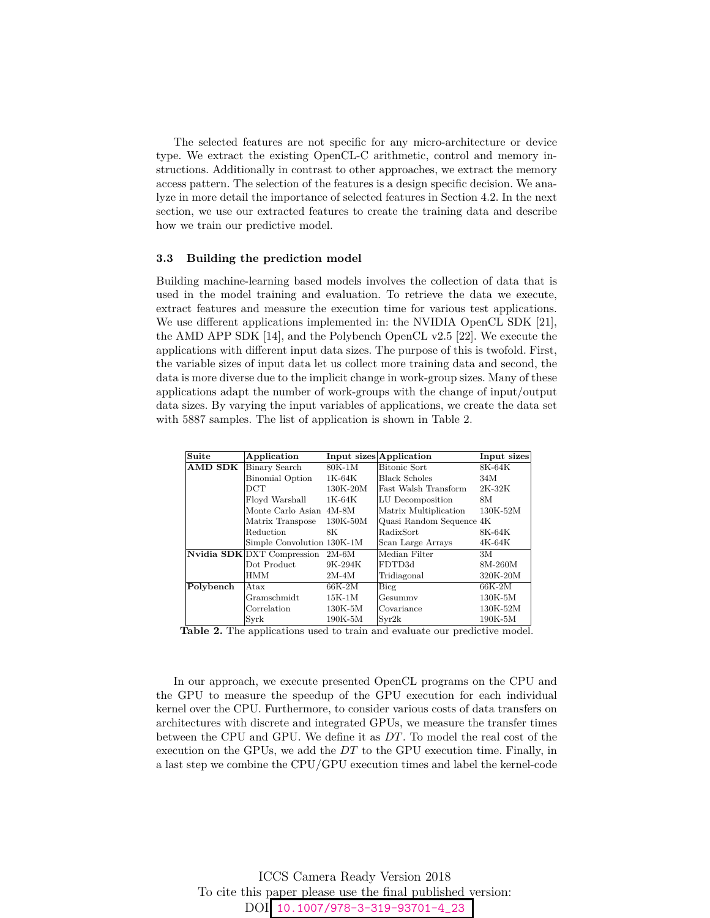The selected features are not specific for any micro-architecture or device type. We extract the existing OpenCL-C arithmetic, control and memory instructions. Additionally in contrast to other approaches, we extract the memory access pattern. The selection of the features is a design specific decision. We analyze in more detail the importance of selected features in Section 4.2. In the next section, we use our extracted features to create the training data and describe how we train our predictive model.

#### **3.3 Building the prediction model**

Building machine-learning based models involves the collection of data that is used in the model training and evaluation. To retrieve the data we execute, extract features and measure the execution time for various test applications. We use different applications implemented in: the NVIDIA OpenCL SDK [21], the AMD APP SDK [14], and the Polybench OpenCL v2.5 [22]. We execute the applications with different input data sizes. The purpose of this is twofold. First, the variable sizes of input data let us collect more training data and second, the data is more diverse due to the implicit change in work-group sizes. Many of these applications adapt the number of work-groups with the change of input/output data sizes. By varying the input variables of applications, we create the data set with 5887 samples. The list of application is shown in Table 2.

| Suite     | Application                      |           | Input sizes Application  | Input sizes |
|-----------|----------------------------------|-----------|--------------------------|-------------|
| AMD SDK   | Binary Search                    | 80K-1M    | Bitonic Sort             | 8K-64K      |
|           | Binomial Option                  | 1K-64K    | <b>Black Scholes</b>     | 34M         |
|           | <b>DCT</b>                       | 130K-20M  | Fast Walsh Transform     | $2K-32K$    |
|           | Floyd Warshall                   | 1K-64K    | LU Decomposition         | 8M          |
|           | Monte Carlo Asian 4M-8M          |           | Matrix Multiplication    | 130K-52M    |
|           | Matrix Transpose                 | 130K-50M  | Quasi Random Sequence 4K |             |
|           | Reduction                        | 8K        | RadixSort                | 8K-64K      |
|           | Simple Convolution 130K-1M       |           | Scan Large Arrays        | 4K-64K      |
|           | Nvidia SDK DXT Compression 2M-6M |           | Median Filter            | 3M          |
|           | Dot Product                      | 9K-294K   | FDTD3d                   | 8M-260M     |
|           | <b>HMM</b>                       | $2M-4M$   | Tridiagonal              | 320K-20M    |
| Polybench | Atax                             | 66K-2M    | Bicg                     | 66K-2M      |
|           | Gramschmidt                      | 15K-1M    | Gesummy                  | $130K-5M$   |
|           | Correlation                      | $130K-5M$ | Covariance               | 130K-52M    |
|           | Svrk                             | 190K-5M   | Svr2k                    | $190K-5M$   |

**Table 2.** The applications used to train and evaluate our predictive model.

In our approach, we execute presented OpenCL programs on the CPU and the GPU to measure the speedup of the GPU execution for each individual kernel over the CPU. Furthermore, to consider various costs of data transfers on architectures with discrete and integrated GPUs, we measure the transfer times between the CPU and GPU. We define it as *DT*. To model the real cost of the execution on the GPUs, we add the *DT* to the GPU execution time. Finally, in a last step we combine the CPU/GPU execution times and label the kernel-code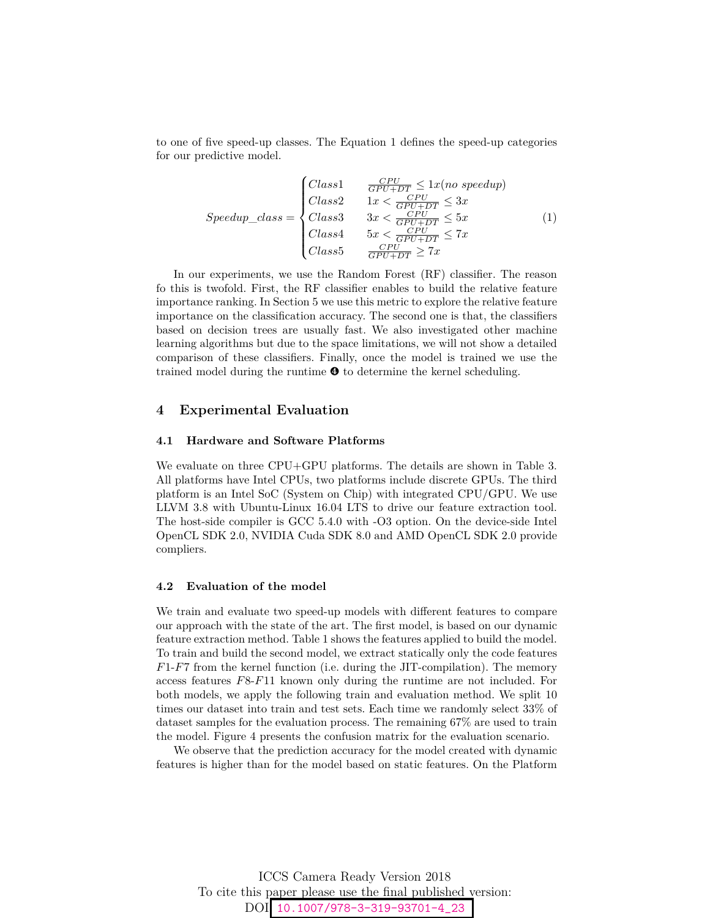to one of five speed-up classes. The Equation 1 defines the speed-up categories for our predictive model.

$$
Speedup\_class = \begin{cases} Class1 & \frac{CPU}{GPU+DT} \leq 1x(no\ speedup) \\ Class2 & 1x < \frac{CPU}{GPU+DT} \leq 3x \\ Class3 & 3x < \frac{CPU}{GPU+DT} \leq 5x \\ Class4 & 5x < \frac{CPU}{GPU+DT} \leq 7x \\ Class5 & \frac{CPU}{GPU+DT} \geq 7x \end{cases} \tag{1}
$$

In our experiments, we use the Random Forest (RF) classifier. The reason fo this is twofold. First, the RF classifier enables to build the relative feature importance ranking. In Section 5 we use this metric to explore the relative feature importance on the classification accuracy. The second one is that, the classifiers based on decision trees are usually fast. We also investigated other machine learning algorithms but due to the space limitations, we will not show a detailed comparison of these classifiers. Finally, once the model is trained we use the trained model during the runtime  $\pmb{\Theta}$  to determine the kernel scheduling.

# **4 Experimental Evaluation**

#### **4.1 Hardware and Software Platforms**

We evaluate on three CPU+GPU platforms. The details are shown in Table 3. All platforms have Intel CPUs, two platforms include discrete GPUs. The third platform is an Intel SoC (System on Chip) with integrated CPU/GPU. We use LLVM 3.8 with Ubuntu-Linux 16.04 LTS to drive our feature extraction tool. The host-side compiler is GCC 5.4.0 with -O3 option. On the device-side Intel OpenCL SDK 2.0, NVIDIA Cuda SDK 8.0 and AMD OpenCL SDK 2.0 provide compliers.

#### **4.2 Evaluation of the model**

We train and evaluate two speed-up models with different features to compare our approach with the state of the art. The first model, is based on our dynamic feature extraction method. Table 1 shows the features applied to build the model. To train and build the second model, we extract statically only the code features *F*1-*F*7 from the kernel function (i.e. during the JIT-compilation). The memory access features *F*8-*F*11 known only during the runtime are not included. For both models, we apply the following train and evaluation method. We split 10 times our dataset into train and test sets. Each time we randomly select 33% of dataset samples for the evaluation process. The remaining 67% are used to train the model. Figure 4 presents the confusion matrix for the evaluation scenario.

We observe that the prediction accuracy for the model created with dynamic features is higher than for the model based on static features. On the Platform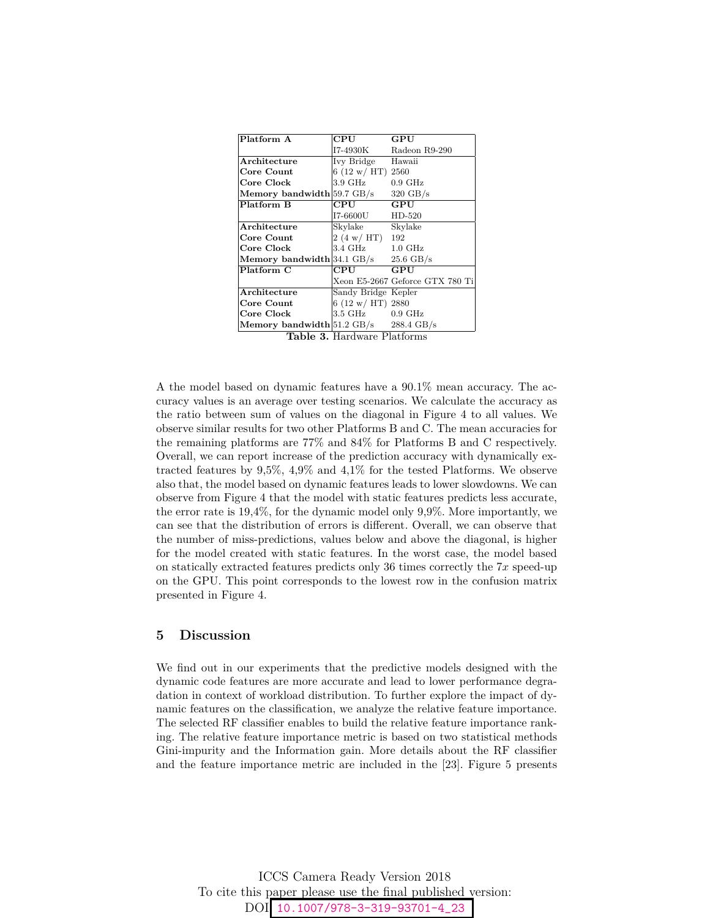| Platform A                                      | ${\bf CPU}$                      | GPU                             |
|-------------------------------------------------|----------------------------------|---------------------------------|
|                                                 | I7-4930K                         | Radeon R9-290                   |
| Architecture                                    | Ivy Bridge                       | Hawaii                          |
| Core Count                                      | $6(12 \text{ w}/\text{ HT})2560$ |                                 |
| Core Clock                                      | 3.9 GHz 0.9 GHz                  |                                 |
| Memory bandwidth $59.7\; \mathrm{GB/s}$         |                                  | $320 \text{ GB/s}$              |
| Platform B                                      | $\rm CPU$                        | GPU                             |
|                                                 | I7-6600U                         | $HD-520$                        |
| Architecture                                    | Skylake Skylake                  |                                 |
| Core Count                                      | $2(4 \text{ w}/ \text{ HT})$ 192 |                                 |
| Core Clock                                      | 3.4 GHz 1.0 GHz                  |                                 |
| Memory bandwidth $34.1 \text{ GB/s}$ 25.6 GB/s  |                                  |                                 |
| Platform C                                      | CPU                              | GPU                             |
|                                                 |                                  | Xeon E5-2667 Geforce GTX 780 Ti |
| Architecture                                    | Sandy Bridge Kepler              |                                 |
| Core Count                                      | $6(12 \text{ w}/\text{ HT})2880$ |                                 |
| Core Clock                                      | 3.5 GHz 0.9 GHz                  |                                 |
| Memory bandwidth $51.2 \text{ GB/s}$ 288.4 GB/s | $\sim$                           |                                 |

**Table 3.** Hardware Platforms

A the model based on dynamic features have a 90.1% mean accuracy. The accuracy values is an average over testing scenarios. We calculate the accuracy as the ratio between sum of values on the diagonal in Figure 4 to all values. We observe similar results for two other Platforms B and C. The mean accuracies for the remaining platforms are 77% and 84% for Platforms B and C respectively. Overall, we can report increase of the prediction accuracy with dynamically extracted features by 9,5%, 4,9% and 4,1% for the tested Platforms. We observe also that, the model based on dynamic features leads to lower slowdowns. We can observe from Figure 4 that the model with static features predicts less accurate, the error rate is 19,4%, for the dynamic model only 9,9%. More importantly, we can see that the distribution of errors is different. Overall, we can observe that the number of miss-predictions, values below and above the diagonal, is higher for the model created with static features. In the worst case, the model based on statically extracted features predicts only 36 times correctly the 7*x* speed-up on the GPU. This point corresponds to the lowest row in the confusion matrix presented in Figure 4.

### **5 Discussion**

We find out in our experiments that the predictive models designed with the dynamic code features are more accurate and lead to lower performance degradation in context of workload distribution. To further explore the impact of dynamic features on the classification, we analyze the relative feature importance. The selected RF classifier enables to build the relative feature importance ranking. The relative feature importance metric is based on two statistical methods Gini-impurity and the Information gain. More details about the RF classifier and the feature importance metric are included in the [23]. Figure 5 presents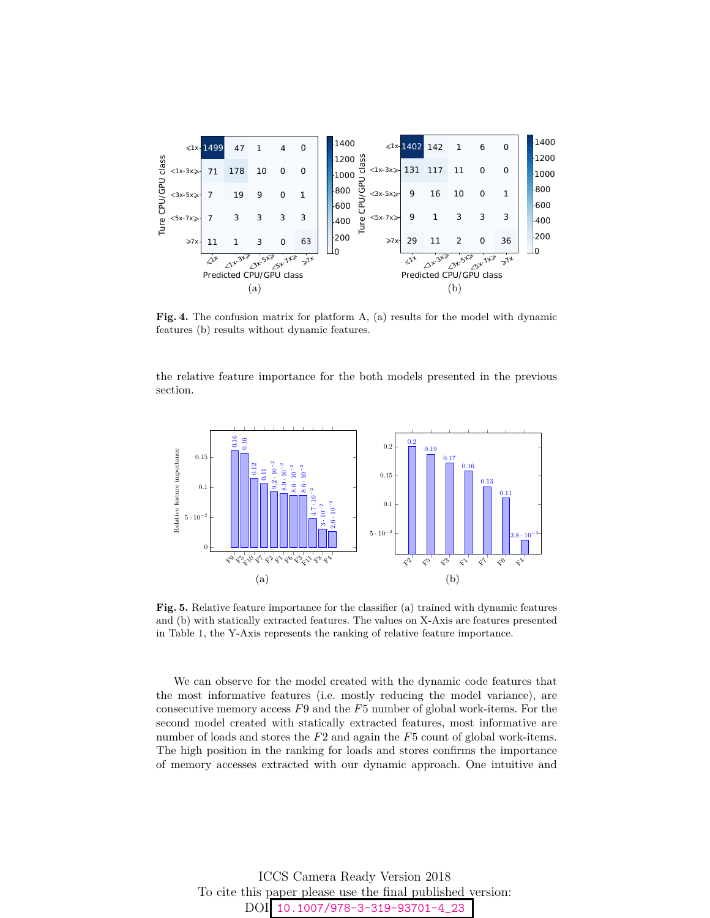

**Fig. 4.** The confusion matrix for platform A, (a) results for the model with dynamic features (b) results without dynamic features.

the relative feature importance for the both models presented in the previous section.



**Fig. 5.** Relative feature importance for the classifier (a) trained with dynamic features and (b) with statically extracted features. The values on X-Axis are features presented in Table 1, the Y-Axis represents the ranking of relative feature importance.

We can observe for the model created with the dynamic code features that the most informative features (i.e. mostly reducing the model variance), are consecutive memory access *F*9 and the *F*5 number of global work-items. For the second model created with statically extracted features, most informative are number of loads and stores the *F*2 and again the *F*5 count of global work-items. The high position in the ranking for loads and stores confirms the importance of memory accesses extracted with our dynamic approach. One intuitive and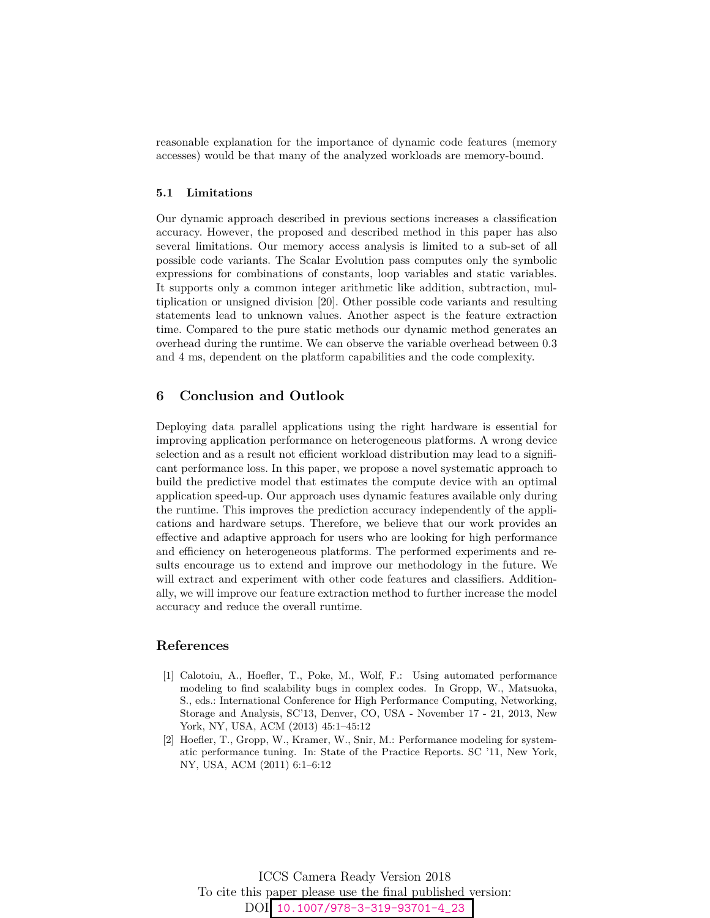reasonable explanation for the importance of dynamic code features (memory accesses) would be that many of the analyzed workloads are memory-bound.

#### **5.1 Limitations**

Our dynamic approach described in previous sections increases a classification accuracy. However, the proposed and described method in this paper has also several limitations. Our memory access analysis is limited to a sub-set of all possible code variants. The Scalar Evolution pass computes only the symbolic expressions for combinations of constants, loop variables and static variables. It supports only a common integer arithmetic like addition, subtraction, multiplication or unsigned division [20]. Other possible code variants and resulting statements lead to unknown values. Another aspect is the feature extraction time. Compared to the pure static methods our dynamic method generates an overhead during the runtime. We can observe the variable overhead between 0.3 and 4 ms, dependent on the platform capabilities and the code complexity.

# **6 Conclusion and Outlook**

Deploying data parallel applications using the right hardware is essential for improving application performance on heterogeneous platforms. A wrong device selection and as a result not efficient workload distribution may lead to a significant performance loss. In this paper, we propose a novel systematic approach to build the predictive model that estimates the compute device with an optimal application speed-up. Our approach uses dynamic features available only during the runtime. This improves the prediction accuracy independently of the applications and hardware setups. Therefore, we believe that our work provides an effective and adaptive approach for users who are looking for high performance and efficiency on heterogeneous platforms. The performed experiments and results encourage us to extend and improve our methodology in the future. We will extract and experiment with other code features and classifiers. Additionally, we will improve our feature extraction method to further increase the model accuracy and reduce the overall runtime.

# **References**

- [1] Calotoiu, A., Hoefler, T., Poke, M., Wolf, F.: Using automated performance modeling to find scalability bugs in complex codes. In Gropp, W., Matsuoka, S., eds.: International Conference for High Performance Computing, Networking, Storage and Analysis, SC'13, Denver, CO, USA - November 17 - 21, 2013, New York, NY, USA, ACM (2013) 45:1–45:12
- [2] Hoefler, T., Gropp, W., Kramer, W., Snir, M.: Performance modeling for systematic performance tuning. In: State of the Practice Reports. SC '11, New York, NY, USA, ACM (2011) 6:1–6:12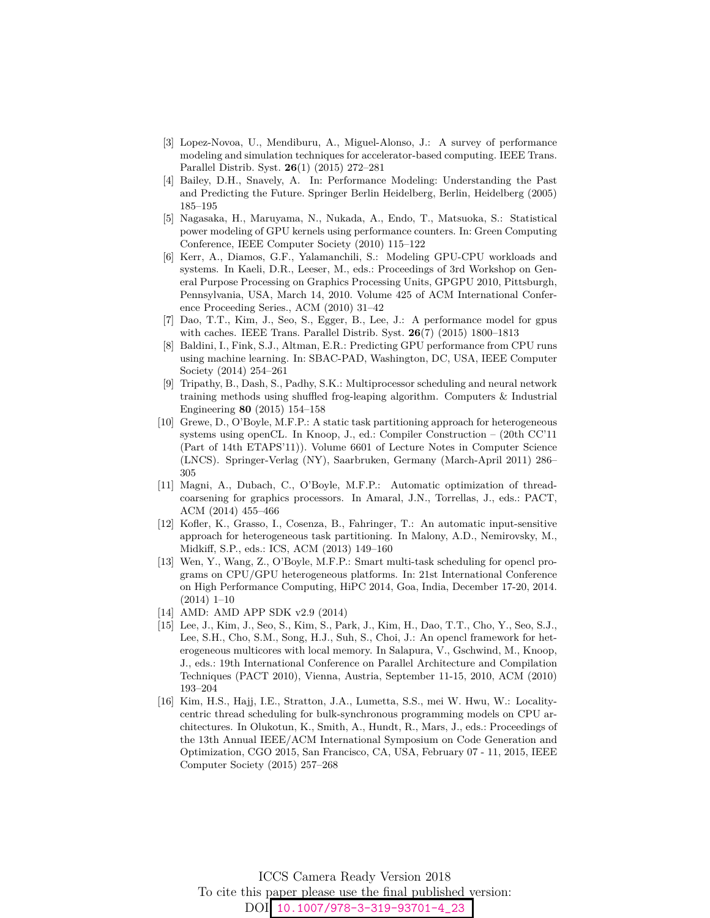- [3] Lopez-Novoa, U., Mendiburu, A., Miguel-Alonso, J.: A survey of performance modeling and simulation techniques for accelerator-based computing. IEEE Trans. Parallel Distrib. Syst. **26**(1) (2015) 272–281
- [4] Bailey, D.H., Snavely, A. In: Performance Modeling: Understanding the Past and Predicting the Future. Springer Berlin Heidelberg, Berlin, Heidelberg (2005) 185–195
- [5] Nagasaka, H., Maruyama, N., Nukada, A., Endo, T., Matsuoka, S.: Statistical power modeling of GPU kernels using performance counters. In: Green Computing Conference, IEEE Computer Society (2010) 115–122
- [6] Kerr, A., Diamos, G.F., Yalamanchili, S.: Modeling GPU-CPU workloads and systems. In Kaeli, D.R., Leeser, M., eds.: Proceedings of 3rd Workshop on General Purpose Processing on Graphics Processing Units, GPGPU 2010, Pittsburgh, Pennsylvania, USA, March 14, 2010. Volume 425 of ACM International Conference Proceeding Series., ACM (2010) 31–42
- [7] Dao, T.T., Kim, J., Seo, S., Egger, B., Lee, J.: A performance model for gpus with caches. IEEE Trans. Parallel Distrib. Syst. **26**(7) (2015) 1800–1813
- [8] Baldini, I., Fink, S.J., Altman, E.R.: Predicting GPU performance from CPU runs using machine learning. In: SBAC-PAD, Washington, DC, USA, IEEE Computer Society (2014) 254–261
- [9] Tripathy, B., Dash, S., Padhy, S.K.: Multiprocessor scheduling and neural network training methods using shuffled frog-leaping algorithm. Computers & Industrial Engineering **80** (2015) 154–158
- [10] Grewe, D., O'Boyle, M.F.P.: A static task partitioning approach for heterogeneous systems using openCL. In Knoop, J., ed.: Compiler Construction – (20th CC'11 (Part of 14th ETAPS'11)). Volume 6601 of Lecture Notes in Computer Science (LNCS). Springer-Verlag (NY), Saarbruken, Germany (March-April 2011) 286– 305
- [11] Magni, A., Dubach, C., O'Boyle, M.F.P.: Automatic optimization of threadcoarsening for graphics processors. In Amaral, J.N., Torrellas, J., eds.: PACT, ACM (2014) 455–466
- [12] Kofler, K., Grasso, I., Cosenza, B., Fahringer, T.: An automatic input-sensitive approach for heterogeneous task partitioning. In Malony, A.D., Nemirovsky, M., Midkiff, S.P., eds.: ICS, ACM (2013) 149–160
- [13] Wen, Y., Wang, Z., O'Boyle, M.F.P.: Smart multi-task scheduling for opencl programs on CPU/GPU heterogeneous platforms. In: 21st International Conference on High Performance Computing, HiPC 2014, Goa, India, December 17-20, 2014. (2014) 1–10
- [14] AMD: AMD APP SDK v2.9 (2014)
- [15] Lee, J., Kim, J., Seo, S., Kim, S., Park, J., Kim, H., Dao, T.T., Cho, Y., Seo, S.J., Lee, S.H., Cho, S.M., Song, H.J., Suh, S., Choi, J.: An opencl framework for heterogeneous multicores with local memory. In Salapura, V., Gschwind, M., Knoop, J., eds.: 19th International Conference on Parallel Architecture and Compilation Techniques (PACT 2010), Vienna, Austria, September 11-15, 2010, ACM (2010) 193–204
- [16] Kim, H.S., Hajj, I.E., Stratton, J.A., Lumetta, S.S., mei W. Hwu, W.: Localitycentric thread scheduling for bulk-synchronous programming models on CPU architectures. In Olukotun, K., Smith, A., Hundt, R., Mars, J., eds.: Proceedings of the 13th Annual IEEE/ACM International Symposium on Code Generation and Optimization, CGO 2015, San Francisco, CA, USA, February 07 - 11, 2015, IEEE Computer Society (2015) 257–268